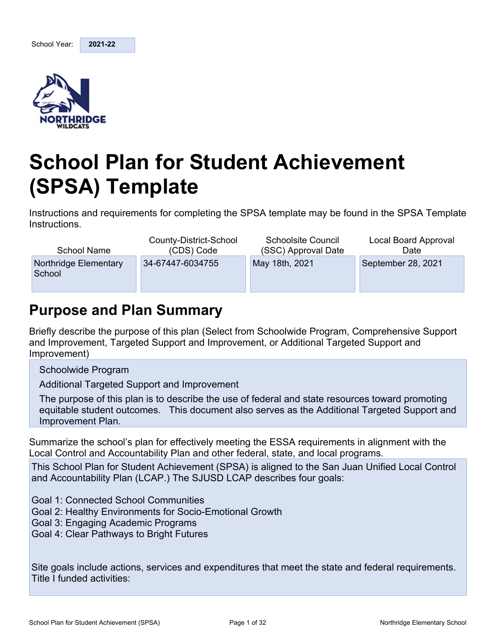<span id="page-0-0"></span>

# **School Plan for Student Achievement (SPSA) Template**

Instructions and requirements for completing the SPSA template may be found in the SPSA Template Instructions.

| School Name                     | County-District-School | <b>Schoolsite Council</b> | Local Board Approval |
|---------------------------------|------------------------|---------------------------|----------------------|
|                                 | (CDS) Code             | (SSC) Approval Date       | Date                 |
| Northridge Elementary<br>School | 34-67447-6034755       | May 18th, 2021            | September 28, 2021   |

### <span id="page-0-1"></span>**Purpose and Plan Summary**

Briefly describe the purpose of this plan (Select from Schoolwide Program, Comprehensive Support and Improvement, Targeted Support and Improvement, or Additional Targeted Support and Improvement)

Schoolwide Program

Additional Targeted Support and Improvement

The purpose of this plan is to describe the use of federal and state resources toward promoting equitable student outcomes. This document also serves as the Additional Targeted Support and Improvement Plan.

Summarize the school's plan for effectively meeting the ESSA requirements in alignment with the Local Control and Accountability Plan and other federal, state, and local programs.

This School Plan for Student Achievement (SPSA) is aligned to the San Juan Unified Local Control and Accountability Plan (LCAP.) The SJUSD LCAP describes four goals:

Goal 1: Connected School Communities

- Goal 2: Healthy Environments for Socio-Emotional Growth
- Goal 3: Engaging Academic Programs
- Goal 4: Clear Pathways to Bright Futures

Site goals include actions, services and expenditures that meet the state and federal requirements. Title I funded activities: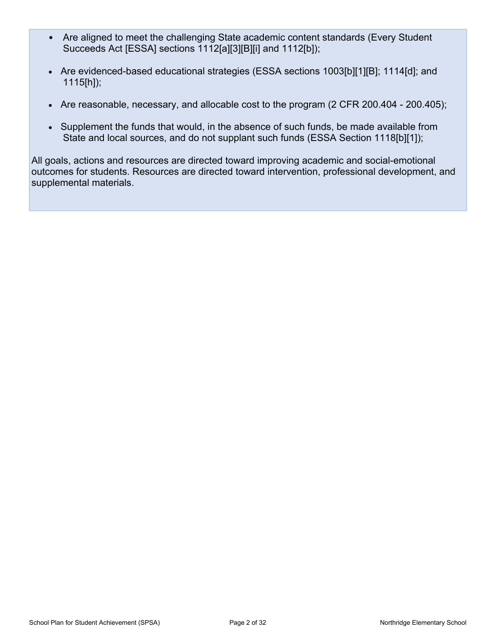- Are aligned to meet the challenging State academic content standards (Every Student Succeeds Act [ESSA] sections 1112[a][3][B][i] and 1112[b]);
- Are evidenced-based educational strategies (ESSA sections 1003[b][1][B]; 1114[d]; and 1115[h]);
- Are reasonable, necessary, and allocable cost to the program (2 CFR 200.404 200.405);
- Supplement the funds that would, in the absence of such funds, be made available from State and local sources, and do not supplant such funds (ESSA Section 1118[b][1]);

All goals, actions and resources are directed toward improving academic and social-emotional outcomes for students. Resources are directed toward intervention, professional development, and supplemental materials.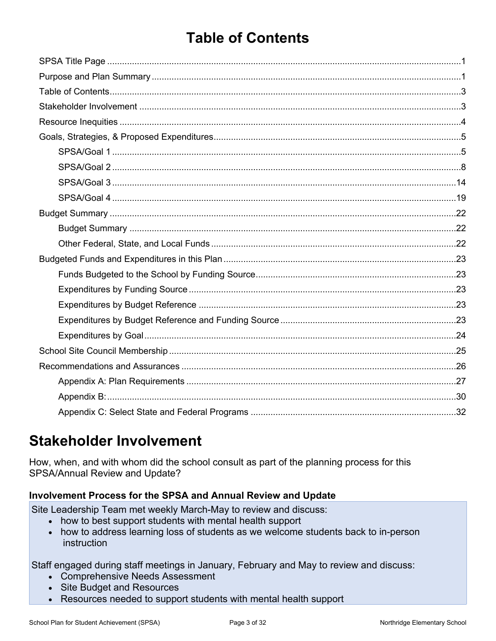### <span id="page-2-0"></span>**Table of Contents**

### <span id="page-2-1"></span>**Stakeholder Involvement**

How, when, and with whom did the school consult as part of the planning process for this SPSA/Annual Review and Update?

#### Involvement Process for the SPSA and Annual Review and Update

Site Leadership Team met weekly March-May to review and discuss:

- how to best support students with mental health support
- how to address learning loss of students as we welcome students back to in-person instruction

Staff engaged during staff meetings in January, February and May to review and discuss:

- Comprehensive Needs Assessment
- Site Budget and Resources
- Resources needed to support students with mental health support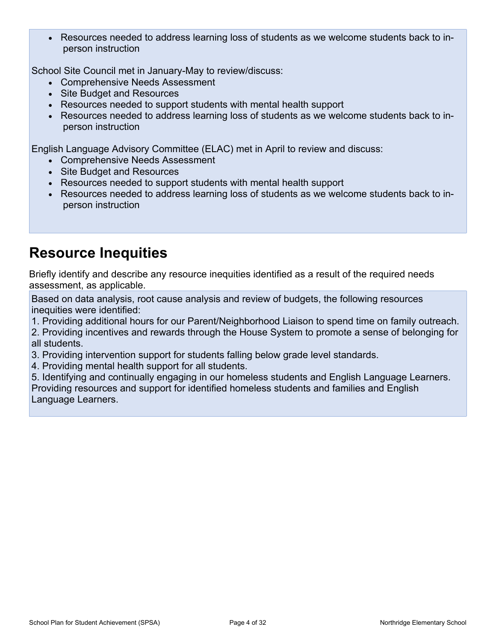Resources needed to address learning loss of students as we welcome students back to inperson instruction

School Site Council met in January-May to review/discuss:

- Comprehensive Needs Assessment
- Site Budget and Resources
- Resources needed to support students with mental health support
- Resources needed to address learning loss of students as we welcome students back to inperson instruction

English Language Advisory Committee (ELAC) met in April to review and discuss:

- Comprehensive Needs Assessment
- Site Budget and Resources
- Resources needed to support students with mental health support
- Resources needed to address learning loss of students as we welcome students back to inperson instruction

### <span id="page-3-0"></span>**Resource Inequities**

Briefly identify and describe any resource inequities identified as a result of the required needs assessment, as applicable.

Based on data analysis, root cause analysis and review of budgets, the following resources inequities were identified:

1. Providing additional hours for our Parent/Neighborhood Liaison to spend time on family outreach.

2. Providing incentives and rewards through the House System to promote a sense of belonging for all students.

- 3. Providing intervention support for students falling below grade level standards.
- 4. Providing mental health support for all students.

5. Identifying and continually engaging in our homeless students and English Language Learners. Providing resources and support for identified homeless students and families and English Language Learners.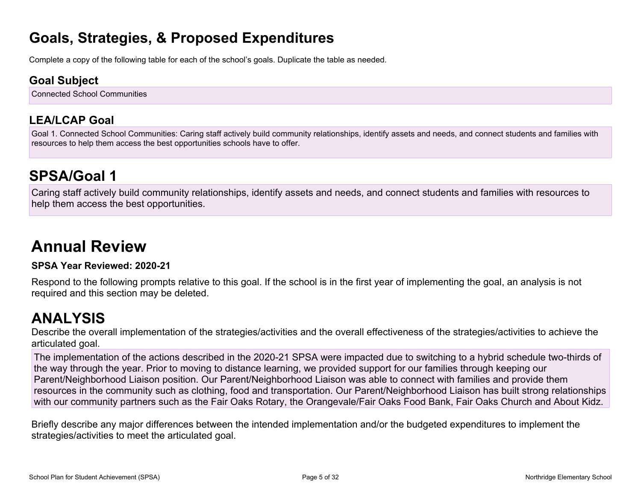### **Goals, Strategies, & Proposed Expenditures**

Complete a copy of the following table for each of the school's goals. Duplicate the table as needed.

#### **Goal Subject**

Connected School Communities

### **LEA/LCAP Goal**

Goal 1. Connected School Communities: Caring staff actively build community relationships, identify assets and needs, and connect students and families with resources to help them access the best opportunities schools have to offer.

### <span id="page-4-0"></span>**SPSA/Goal 1**

Caring staff actively build community relationships, identify assets and needs, and connect students and families with resources to help them access the best opportunities.

## **Annual Review**

#### **SPSA Year Reviewed: 2020-21**

Respond to the following prompts relative to this goal. If the school is in the first year of implementing the goal, an analysis is not required and this section may be deleted.

### <span id="page-4-1"></span>**ANALYSIS**

Describe the overall implementation of the strategies/activities and the overall effectiveness of the strategies/activities to achieve the articulated goal.

The implementation of the actions described in the 2020-21 SPSA were impacted due to switching to a hybrid schedule two-thirds of the way through the year. Prior to moving to distance learning, we provided support for our families through keeping our Parent/Neighborhood Liaison position. Our Parent/Neighborhood Liaison was able to connect with families and provide them resources in the community such as clothing, food and transportation. Our Parent/Neighborhood Liaison has built strong relationships with our community partners such as the Fair Oaks Rotary, the Orangevale/Fair Oaks Food Bank, Fair Oaks Church and About Kidz.

Briefly describe any major differences between the intended implementation and/or the budgeted expenditures to implement the strategies/activities to meet the articulated goal.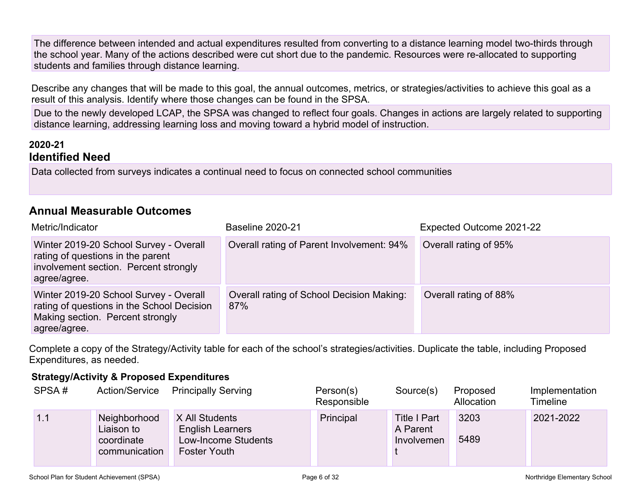The difference between intended and actual expenditures resulted from converting to a distance learning model two-thirds through the school year. Many of the actions described were cut short due to the pandemic. Resources were re-allocated to supporting students and families through distance learning.

Describe any changes that will be made to this goal, the annual outcomes, metrics, or strategies/activities to achieve this goal as a result of this analysis. Identify where those changes can be found in the SPSA.

Due to the newly developed LCAP, the SPSA was changed to reflect four goals. Changes in actions are largely related to supporting distance learning, addressing learning loss and moving toward a hybrid model of instruction.

#### **2020-21 Identified Need**

Data collected from surveys indicates a continual need to focus on connected school communities

#### **Annual Measurable Outcomes**

| Metric/Indicator                                                                                                                         | <b>Baseline 2020-21</b>                          | Expected Outcome 2021-22 |
|------------------------------------------------------------------------------------------------------------------------------------------|--------------------------------------------------|--------------------------|
| Winter 2019-20 School Survey - Overall<br>rating of questions in the parent<br>involvement section. Percent strongly<br>agree/agree.     | Overall rating of Parent Involvement: 94%        | Overall rating of 95%    |
| Winter 2019-20 School Survey - Overall<br>rating of questions in the School Decision<br>Making section. Percent strongly<br>agree/agree. | Overall rating of School Decision Making:<br>87% | Overall rating of 88%    |

Complete a copy of the Strategy/Activity table for each of the school's strategies/activities. Duplicate the table, including Proposed Expenditures, as needed.

#### **Strategy/Activity & Proposed Expenditures**

| SPSA# | Action/Service                                            | <b>Principally Serving</b>                                                              | Person(s)<br>Responsible | Source(s)                                     | Proposed<br>Allocation | Implementation<br><b>Timeline</b> |
|-------|-----------------------------------------------------------|-----------------------------------------------------------------------------------------|--------------------------|-----------------------------------------------|------------------------|-----------------------------------|
| 1.1   | Neighborhood<br>Liaison to<br>coordinate<br>communication | X All Students<br><b>English Learners</b><br>Low-Income Students<br><b>Foster Youth</b> | Principal                | <b>Title I Part</b><br>A Parent<br>Involvemen | 3203<br>5489           | 2021-2022                         |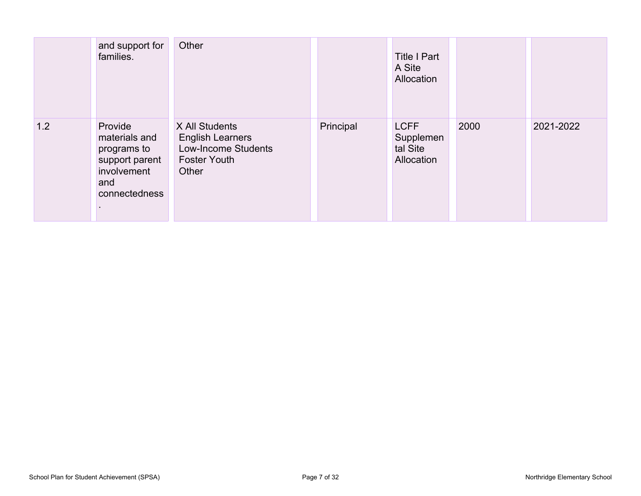|     | and support for<br>families.                                                                     | Other                                                                                            |           | <b>Title I Part</b><br>A Site<br>Allocation        |      |           |
|-----|--------------------------------------------------------------------------------------------------|--------------------------------------------------------------------------------------------------|-----------|----------------------------------------------------|------|-----------|
| 1.2 | Provide<br>materials and<br>programs to<br>support parent<br>involvement<br>and<br>connectedness | X All Students<br><b>English Learners</b><br>Low-Income Students<br><b>Foster Youth</b><br>Other | Principal | <b>LCFF</b><br>Supplemen<br>tal Site<br>Allocation | 2000 | 2021-2022 |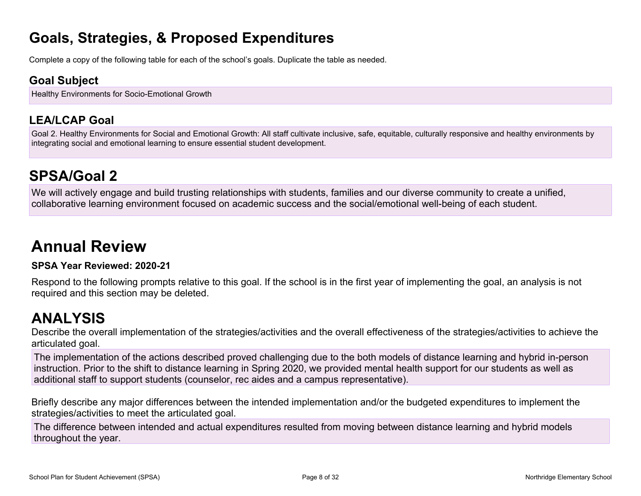### **Goals, Strategies, & Proposed Expenditures**

Complete a copy of the following table for each of the school's goals. Duplicate the table as needed.

#### **Goal Subject**

Healthy Environments for Socio-Emotional Growth

### **LEA/LCAP Goal**

Goal 2. Healthy Environments for Social and Emotional Growth: All staff cultivate inclusive, safe, equitable, culturally responsive and healthy environments by integrating social and emotional learning to ensure essential student development.

### **SPSA/Goal 2**

We will actively engage and build trusting relationships with students, families and our diverse community to create a unified, collaborative learning environment focused on academic success and the social/emotional well-being of each student.

## **Annual Review**

#### **SPSA Year Reviewed: 2020-21**

Respond to the following prompts relative to this goal. If the school is in the first year of implementing the goal, an analysis is not required and this section may be deleted.

### <span id="page-7-0"></span>**ANALYSIS**

Describe the overall implementation of the strategies/activities and the overall effectiveness of the strategies/activities to achieve the articulated goal.

The implementation of the actions described proved challenging due to the both models of distance learning and hybrid in-person instruction. Prior to the shift to distance learning in Spring 2020, we provided mental health support for our students as well as additional staff to support students (counselor, rec aides and a campus representative).

Briefly describe any major differences between the intended implementation and/or the budgeted expenditures to implement the strategies/activities to meet the articulated goal.

The difference between intended and actual expenditures resulted from moving between distance learning and hybrid models throughout the year.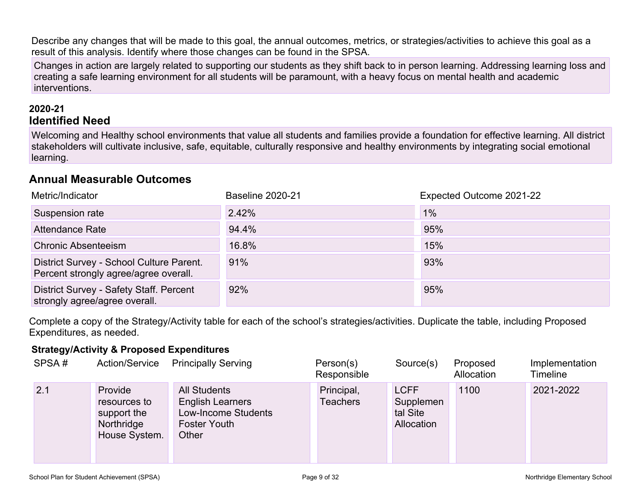Describe any changes that will be made to this goal, the annual outcomes, metrics, or strategies/activities to achieve this goal as a result of this analysis. Identify where those changes can be found in the SPSA.

Changes in action are largely related to supporting our students as they shift back to in person learning. Addressing learning loss and creating a safe learning environment for all students will be paramount, with a heavy focus on mental health and academic interventions.

#### **2020-21 Identified Need**

Welcoming and Healthy school environments that value all students and families provide a foundation for effective learning. All district stakeholders will cultivate inclusive, safe, equitable, culturally responsive and healthy environments by integrating social emotional learning.

#### **Annual Measurable Outcomes**

| Metric/Indicator                                                                  | <b>Baseline 2020-21</b> | Expected Outcome 2021-22 |
|-----------------------------------------------------------------------------------|-------------------------|--------------------------|
| Suspension rate                                                                   | 2.42%                   | 1%                       |
| Attendance Rate                                                                   | 94.4%                   | 95%                      |
| <b>Chronic Absenteeism</b>                                                        | 16.8%                   | 15%                      |
| District Survey - School Culture Parent.<br>Percent strongly agree/agree overall. | 91%                     | 93%                      |
| District Survey - Safety Staff. Percent<br>strongly agree/agree overall.          | 92%                     | 95%                      |

Complete a copy of the Strategy/Activity table for each of the school's strategies/activities. Duplicate the table, including Proposed Expenditures, as needed.

#### **Strategy/Activity & Proposed Expenditures**

| SPSA# | <b>Action/Service</b>                                                 | <b>Principally Serving</b>                                                                            | Person(s)<br>Responsible | Source(s)                                          | Proposed<br>Allocation | Implementation<br><b>Timeline</b> |
|-------|-----------------------------------------------------------------------|-------------------------------------------------------------------------------------------------------|--------------------------|----------------------------------------------------|------------------------|-----------------------------------|
| 2.1   | Provide<br>resources to<br>support the<br>Northridge<br>House System. | <b>All Students</b><br><b>English Learners</b><br>Low-Income Students<br><b>Foster Youth</b><br>Other | Principal,<br>Teachers   | <b>LCFF</b><br>Supplemen<br>tal Site<br>Allocation | 1100                   | 2021-2022                         |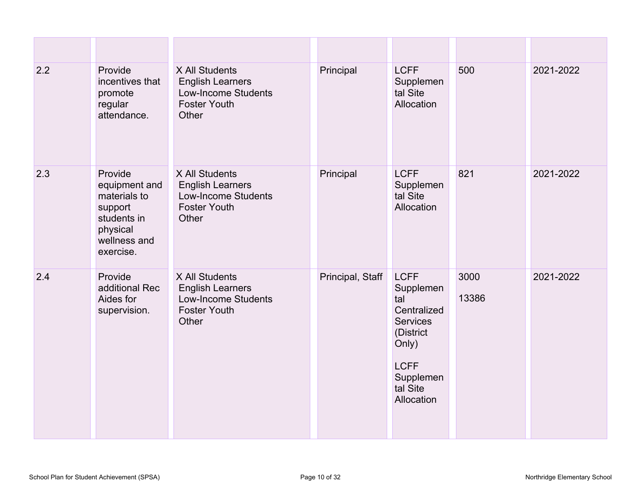| 2.2 | Provide<br>incentives that<br>promote<br>regular<br>attendance.                                             | X All Students<br><b>English Learners</b><br><b>Low-Income Students</b><br><b>Foster Youth</b><br>Other | Principal        | <b>LCFF</b><br>Supplemen<br>tal Site<br>Allocation                                                                                            | 500           | 2021-2022 |
|-----|-------------------------------------------------------------------------------------------------------------|---------------------------------------------------------------------------------------------------------|------------------|-----------------------------------------------------------------------------------------------------------------------------------------------|---------------|-----------|
| 2.3 | Provide<br>equipment and<br>materials to<br>support<br>students in<br>physical<br>wellness and<br>exercise. | X All Students<br><b>English Learners</b><br><b>Low-Income Students</b><br><b>Foster Youth</b><br>Other | Principal        | <b>LCFF</b><br>Supplemen<br>tal Site<br>Allocation                                                                                            | 821           | 2021-2022 |
| 2.4 | Provide<br>additional Rec<br>Aides for<br>supervision.                                                      | X All Students<br><b>English Learners</b><br><b>Low-Income Students</b><br><b>Foster Youth</b><br>Other | Principal, Staff | <b>LCFF</b><br>Supplemen<br>tal<br>Centralized<br><b>Services</b><br>(District<br>Only)<br><b>LCFF</b><br>Supplemen<br>tal Site<br>Allocation | 3000<br>13386 | 2021-2022 |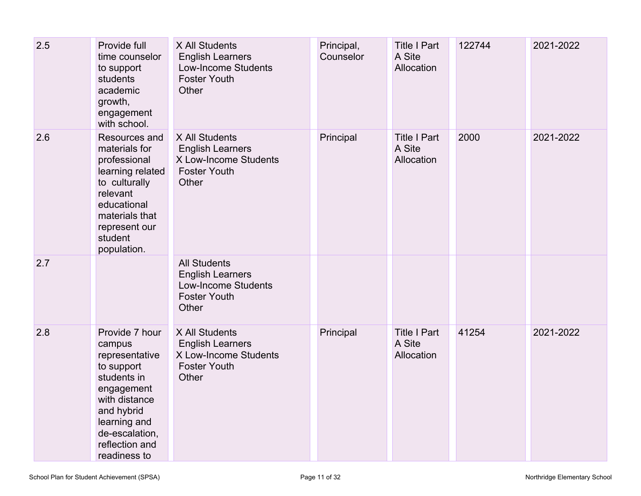| 2.5 | Provide full<br>time counselor<br>to support<br>students<br>academic<br>growth,<br>engagement<br>with school.                                                                            | X All Students<br><b>English Learners</b><br><b>Low-Income Students</b><br><b>Foster Youth</b><br>Other      | Principal,<br>Counselor | <b>Title I Part</b><br>A Site<br>Allocation | 122744 | 2021-2022 |
|-----|------------------------------------------------------------------------------------------------------------------------------------------------------------------------------------------|--------------------------------------------------------------------------------------------------------------|-------------------------|---------------------------------------------|--------|-----------|
| 2.6 | Resources and<br>materials for<br>professional<br>learning related<br>to culturally<br>relevant<br>educational<br>materials that<br>represent our<br>student<br>population.              | X All Students<br><b>English Learners</b><br>X Low-Income Students<br><b>Foster Youth</b><br>Other           | Principal               | <b>Title I Part</b><br>A Site<br>Allocation | 2000   | 2021-2022 |
| 2.7 |                                                                                                                                                                                          | <b>All Students</b><br><b>English Learners</b><br><b>Low-Income Students</b><br><b>Foster Youth</b><br>Other |                         |                                             |        |           |
| 2.8 | Provide 7 hour<br>campus<br>representative<br>to support<br>students in<br>engagement<br>with distance<br>and hybrid<br>learning and<br>de-escalation,<br>reflection and<br>readiness to | X All Students<br><b>English Learners</b><br>X Low-Income Students<br><b>Foster Youth</b><br>Other           | Principal               | <b>Title I Part</b><br>A Site<br>Allocation | 41254  | 2021-2022 |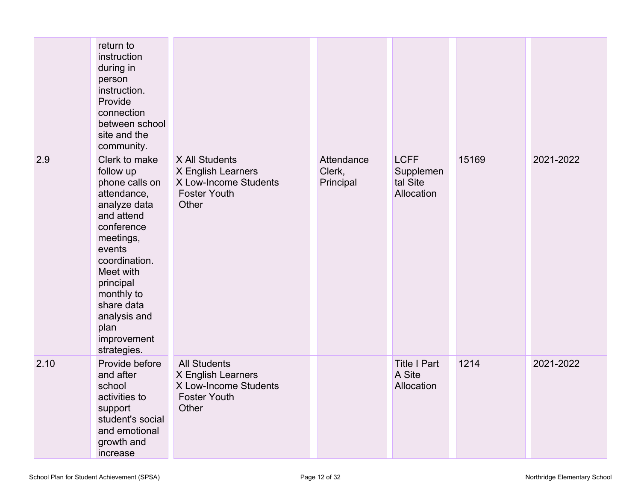|      | return to<br>instruction<br>during in<br>person<br>instruction.<br>Provide<br>connection<br>between school<br>site and the<br>community.                                                                                                                    |                                                                                                    |                                   |                                                    |       |           |
|------|-------------------------------------------------------------------------------------------------------------------------------------------------------------------------------------------------------------------------------------------------------------|----------------------------------------------------------------------------------------------------|-----------------------------------|----------------------------------------------------|-------|-----------|
| 2.9  | Clerk to make<br>follow up<br>phone calls on<br>attendance,<br>analyze data<br>and attend<br>conference<br>meetings,<br>events<br>coordination.<br>Meet with<br>principal<br>monthly to<br>share data<br>analysis and<br>plan<br>improvement<br>strategies. | X All Students<br>X English Learners<br>X Low-Income Students<br><b>Foster Youth</b><br>Other      | Attendance<br>Clerk,<br>Principal | <b>LCFF</b><br>Supplemen<br>tal Site<br>Allocation | 15169 | 2021-2022 |
| 2.10 | Provide before<br>and after<br>school<br>activities to<br>support<br>student's social<br>and emotional<br>growth and<br>increase                                                                                                                            | <b>All Students</b><br>X English Learners<br>X Low-Income Students<br><b>Foster Youth</b><br>Other |                                   | <b>Title I Part</b><br>A Site<br>Allocation        | 1214  | 2021-2022 |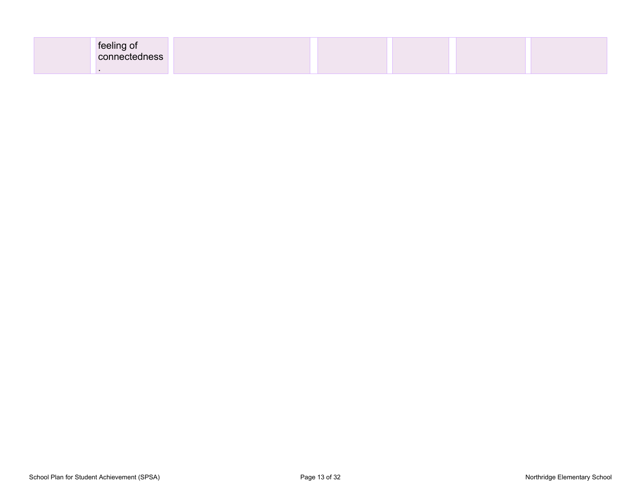| feeling of<br>connectedness |  |  |  |
|-----------------------------|--|--|--|
|                             |  |  |  |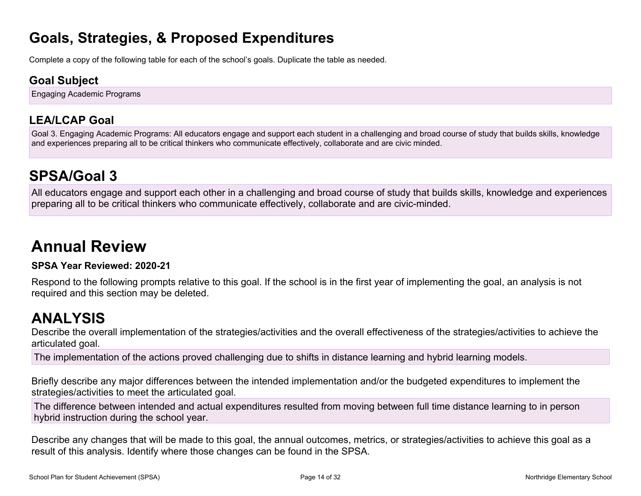### **Goals, Strategies, & Proposed Expenditures**

Complete a copy of the following table for each of the school's goals. Duplicate the table as needed.

#### **Goal Subject**

Engaging Academic Programs

### **LEA/LCAP Goal**

Goal 3. Engaging Academic Programs: All educators engage and support each student in a challenging and broad course of study that builds skills, knowledge and experiences preparing all to be critical thinkers who communicate effectively, collaborate and are civic minded.

### **SPSA/Goal 3**

All educators engage and support each other in a challenging and broad course of study that builds skills, knowledge and experiences preparing all to be critical thinkers who communicate effectively, collaborate and are civic-minded.

# **Annual Review**

#### **SPSA Year Reviewed: 2020-21**

Respond to the following prompts relative to this goal. If the school is in the first year of implementing the goal, an analysis is not required and this section may be deleted.

### <span id="page-13-0"></span>**ANALYSIS**

Describe the overall implementation of the strategies/activities and the overall effectiveness of the strategies/activities to achieve the articulated goal.

The implementation of the actions proved challenging due to shifts in distance learning and hybrid learning models.

Briefly describe any major differences between the intended implementation and/or the budgeted expenditures to implement the strategies/activities to meet the articulated goal.

The difference between intended and actual expenditures resulted from moving between full time distance learning to in person hybrid instruction during the school year.

Describe any changes that will be made to this goal, the annual outcomes, metrics, or strategies/activities to achieve this goal as a result of this analysis. Identify where those changes can be found in the SPSA.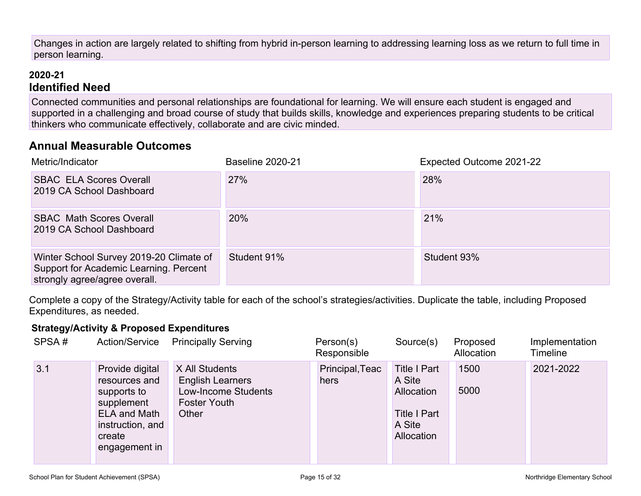Changes in action are largely related to shifting from hybrid in-person learning to addressing learning loss as we return to full time in person learning.

#### **2020-21 Identified Need**

Connected communities and personal relationships are foundational for learning. We will ensure each student is engaged and supported in a challenging and broad course of study that builds skills, knowledge and experiences preparing students to be critical thinkers who communicate effectively, collaborate and are civic minded.

#### **Annual Measurable Outcomes**

| Metric/Indicator                                                                                                   | <b>Baseline 2020-21</b> | Expected Outcome 2021-22 |
|--------------------------------------------------------------------------------------------------------------------|-------------------------|--------------------------|
| <b>SBAC ELA Scores Overall</b><br>2019 CA School Dashboard                                                         | 27%                     | 28%                      |
| <b>SBAC Math Scores Overall</b><br>2019 CA School Dashboard                                                        | 20%                     | 21%                      |
| Winter School Survey 2019-20 Climate of<br>Support for Academic Learning. Percent<br>strongly agree/agree overall. | Student 91%             | Student 93%              |

Complete a copy of the Strategy/Activity table for each of the school's strategies/activities. Duplicate the table, including Proposed Expenditures, as needed.

#### **Strategy/Activity & Proposed Expenditures**

| SPSA# | Action/Service                                                                                                                      | <b>Principally Serving</b>                                                                              | Person(s)<br>Responsible | Source(s)                                                                                  | Proposed<br>Allocation | Implementation<br>Timeline |
|-------|-------------------------------------------------------------------------------------------------------------------------------------|---------------------------------------------------------------------------------------------------------|--------------------------|--------------------------------------------------------------------------------------------|------------------------|----------------------------|
| 3.1   | Provide digital<br>resources and<br>supports to<br>supplement<br><b>ELA and Math</b><br>instruction, and<br>create<br>engagement in | X All Students<br><b>English Learners</b><br><b>Low-Income Students</b><br><b>Foster Youth</b><br>Other | Principal, Teac<br>hers  | <b>Title I Part</b><br>A Site<br>Allocation<br><b>Title I Part</b><br>A Site<br>Allocation | 1500<br>5000           | 2021-2022                  |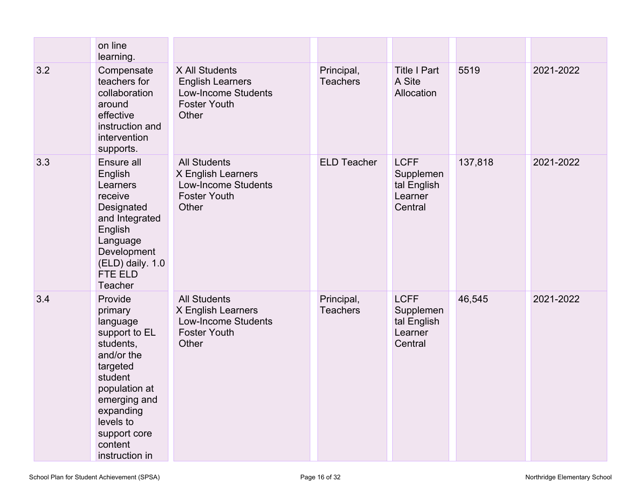|     | on line<br>learning.                                                                                                                                                                                      |                                                                                                         |                               |                                                               |         |           |
|-----|-----------------------------------------------------------------------------------------------------------------------------------------------------------------------------------------------------------|---------------------------------------------------------------------------------------------------------|-------------------------------|---------------------------------------------------------------|---------|-----------|
| 3.2 | Compensate<br>teachers for<br>collaboration<br>around<br>effective<br>instruction and<br>intervention<br>supports.                                                                                        | X All Students<br><b>English Learners</b><br><b>Low-Income Students</b><br><b>Foster Youth</b><br>Other | Principal,<br><b>Teachers</b> | <b>Title I Part</b><br>A Site<br>Allocation                   | 5519    | 2021-2022 |
| 3.3 | Ensure all<br>English<br>Learners<br>receive<br>Designated<br>and Integrated<br>English<br>Language<br>Development<br>(ELD) daily. 1.0<br>FTE ELD<br>Teacher                                              | <b>All Students</b><br>X English Learners<br><b>Low-Income Students</b><br><b>Foster Youth</b><br>Other | <b>ELD Teacher</b>            | <b>LCFF</b><br>Supplemen<br>tal English<br>Learner<br>Central | 137,818 | 2021-2022 |
| 3.4 | Provide<br>primary<br>language<br>support to EL<br>students,<br>and/or the<br>targeted<br>student<br>population at<br>emerging and<br>expanding<br>levels to<br>support core<br>content<br>instruction in | <b>All Students</b><br>X English Learners<br><b>Low-Income Students</b><br><b>Foster Youth</b><br>Other | Principal,<br><b>Teachers</b> | <b>LCFF</b><br>Supplemen<br>tal English<br>Learner<br>Central | 46,545  | 2021-2022 |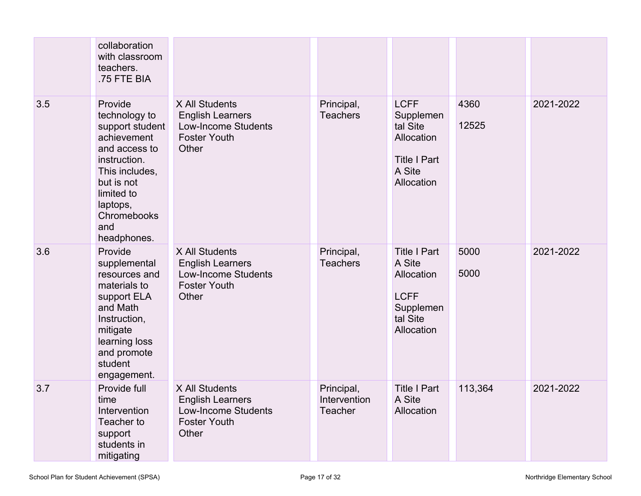|     | collaboration<br>with classroom<br>teachers.<br>.75 FTE BIA                                                                                                                                |                                                                                                         |                                       |                                                                                                   |               |           |
|-----|--------------------------------------------------------------------------------------------------------------------------------------------------------------------------------------------|---------------------------------------------------------------------------------------------------------|---------------------------------------|---------------------------------------------------------------------------------------------------|---------------|-----------|
| 3.5 | Provide<br>technology to<br>support student<br>achievement<br>and access to<br>instruction.<br>This includes,<br>but is not<br>limited to<br>laptops,<br>Chromebooks<br>and<br>headphones. | X All Students<br><b>English Learners</b><br><b>Low-Income Students</b><br><b>Foster Youth</b><br>Other | Principal,<br><b>Teachers</b>         | <b>LCFF</b><br>Supplemen<br>tal Site<br>Allocation<br><b>Title I Part</b><br>A Site<br>Allocation | 4360<br>12525 | 2021-2022 |
| 3.6 | Provide<br>supplemental<br>resources and<br>materials to<br>support ELA<br>and Math<br>Instruction,<br>mitigate<br>learning loss<br>and promote<br>student<br>engagement.                  | X All Students<br><b>English Learners</b><br><b>Low-Income Students</b><br><b>Foster Youth</b><br>Other | Principal,<br><b>Teachers</b>         | <b>Title I Part</b><br>A Site<br>Allocation<br><b>LCFF</b><br>Supplemen<br>tal Site<br>Allocation | 5000<br>5000  | 2021-2022 |
| 3.7 | Provide full<br>time<br>Intervention<br>Teacher to<br>support<br>students in<br>mitigating                                                                                                 | X All Students<br><b>English Learners</b><br><b>Low-Income Students</b><br><b>Foster Youth</b><br>Other | Principal,<br>Intervention<br>Teacher | <b>Title I Part</b><br>A Site<br>Allocation                                                       | 113,364       | 2021-2022 |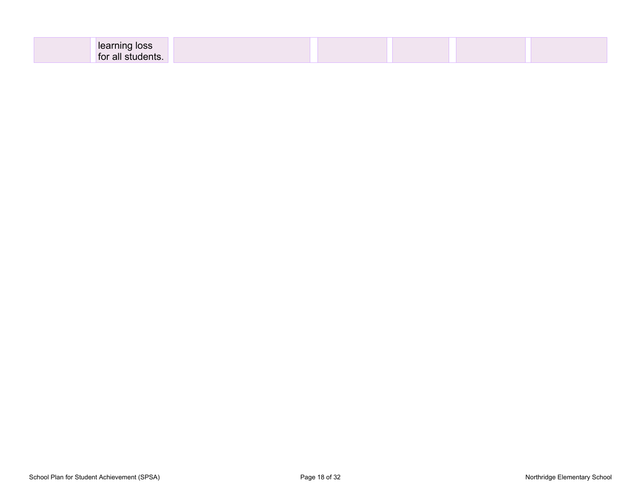| ning loss<br><b>learr</b> |  |  |
|---------------------------|--|--|
| for all students.         |  |  |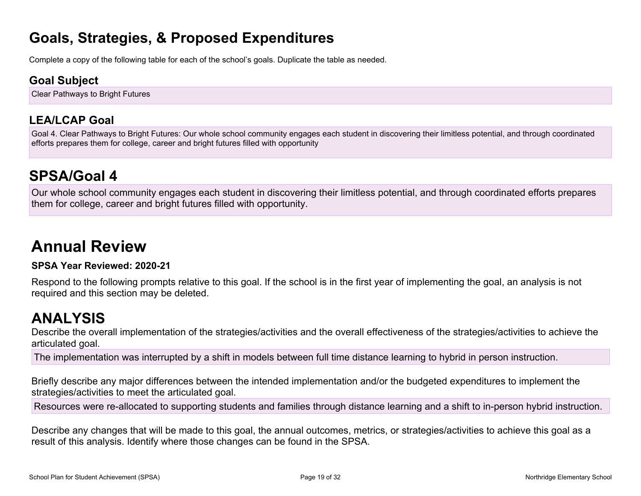### **Goals, Strategies, & Proposed Expenditures**

Complete a copy of the following table for each of the school's goals. Duplicate the table as needed.

#### **Goal Subject**

Clear Pathways to Bright Futures

### **LEA/LCAP Goal**

Goal 4. Clear Pathways to Bright Futures: Our whole school community engages each student in discovering their limitless potential, and through coordinated efforts prepares them for college, career and bright futures filled with opportunity

### **SPSA/Goal 4**

Our whole school community engages each student in discovering their limitless potential, and through coordinated efforts prepares them for college, career and bright futures filled with opportunity.

# **Annual Review**

#### **SPSA Year Reviewed: 2020-21**

Respond to the following prompts relative to this goal. If the school is in the first year of implementing the goal, an analysis is not required and this section may be deleted.

### <span id="page-18-0"></span>**ANALYSIS**

Describe the overall implementation of the strategies/activities and the overall effectiveness of the strategies/activities to achieve the articulated goal.

The implementation was interrupted by a shift in models between full time distance learning to hybrid in person instruction.

Briefly describe any major differences between the intended implementation and/or the budgeted expenditures to implement the strategies/activities to meet the articulated goal.

Resources were re-allocated to supporting students and families through distance learning and a shift to in-person hybrid instruction.

Describe any changes that will be made to this goal, the annual outcomes, metrics, or strategies/activities to achieve this goal as a result of this analysis. Identify where those changes can be found in the SPSA.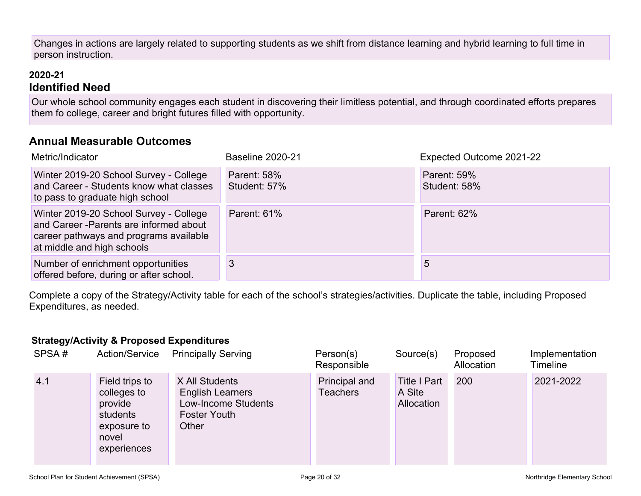Changes in actions are largely related to supporting students as we shift from distance learning and hybrid learning to full time in person instruction.

#### **2020-21 Identified Need**

Our whole school community engages each student in discovering their limitless potential, and through coordinated efforts prepares them fo college, career and bright futures filled with opportunity.

#### **Annual Measurable Outcomes**

| Metric/Indicator                                                                                                                                          | <b>Baseline 2020-21</b>            | Expected Outcome 2021-22           |
|-----------------------------------------------------------------------------------------------------------------------------------------------------------|------------------------------------|------------------------------------|
| Winter 2019-20 School Survey - College<br>and Career - Students know what classes<br>to pass to graduate high school                                      | <b>Parent: 58%</b><br>Student: 57% | <b>Parent: 59%</b><br>Student: 58% |
| Winter 2019-20 School Survey - College<br>and Career - Parents are informed about<br>career pathways and programs available<br>at middle and high schools | <b>Parent: 61%</b>                 | <b>Parent: 62%</b>                 |
| Number of enrichment opportunities<br>offered before, during or after school.                                                                             | 3                                  | 5                                  |

Complete a copy of the Strategy/Activity table for each of the school's strategies/activities. Duplicate the table, including Proposed Expenditures, as needed.

#### **Strategy/Activity & Proposed Expenditures**

| SPSA# | <b>Action/Service</b>                                                                       | <b>Principally Serving</b>                                                                       | Person(s)<br>Responsible  | Source(s)                                   | Proposed<br>Allocation | Implementation<br><b>Timeline</b> |
|-------|---------------------------------------------------------------------------------------------|--------------------------------------------------------------------------------------------------|---------------------------|---------------------------------------------|------------------------|-----------------------------------|
| 4.1   | Field trips to<br>colleges to<br>provide<br>students<br>exposure to<br>novel<br>experiences | X All Students<br><b>English Learners</b><br>Low-Income Students<br><b>Foster Youth</b><br>Other | Principal and<br>Teachers | <b>Title I Part</b><br>A Site<br>Allocation | 200                    | 2021-2022                         |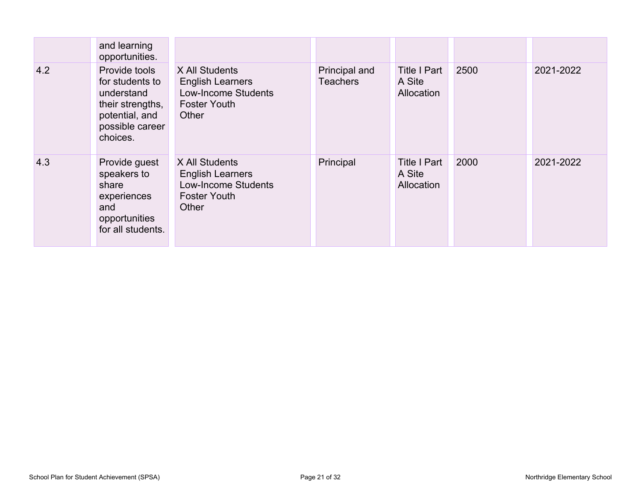|     | and learning<br>opportunities.                                                                                      |                                                                                                         |                                  |                                             |      |           |
|-----|---------------------------------------------------------------------------------------------------------------------|---------------------------------------------------------------------------------------------------------|----------------------------------|---------------------------------------------|------|-----------|
| 4.2 | Provide tools<br>for students to<br>understand<br>their strengths,<br>potential, and<br>possible career<br>choices. | X All Students<br><b>English Learners</b><br>Low-Income Students<br><b>Foster Youth</b><br>Other        | Principal and<br><b>Teachers</b> | <b>Title I Part</b><br>A Site<br>Allocation | 2500 | 2021-2022 |
| 4.3 | Provide guest<br>speakers to<br>share<br>experiences<br>and<br>opportunities<br>for all students.                   | X All Students<br><b>English Learners</b><br><b>Low-Income Students</b><br><b>Foster Youth</b><br>Other | Principal                        | <b>Title I Part</b><br>A Site<br>Allocation | 2000 | 2021-2022 |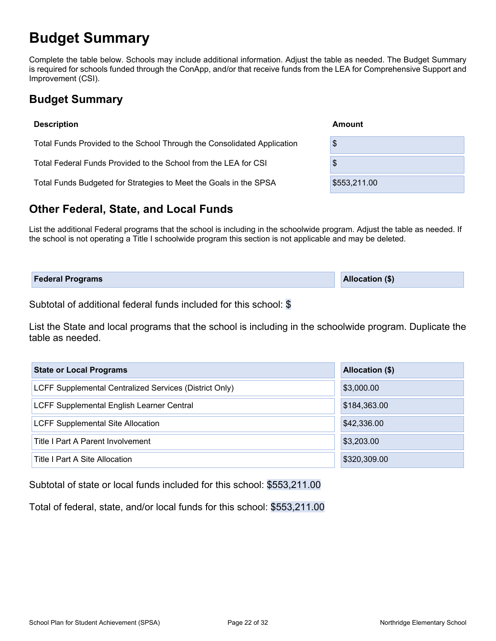### <span id="page-21-0"></span>**Budget Summary**

Complete the table below. Schools may include additional information. Adjust the table as needed. The Budget Summary is required for schools funded through the ConApp, and/or that receive funds from the LEA for Comprehensive Support and Improvement (CSI).

#### <span id="page-21-1"></span>**Budget Summary**

| <b>Description</b>                                                      | Amount       |
|-------------------------------------------------------------------------|--------------|
| Total Funds Provided to the School Through the Consolidated Application | \$           |
| Total Federal Funds Provided to the School from the LEA for CSI         | \$           |
| Total Funds Budgeted for Strategies to Meet the Goals in the SPSA       | \$553,211.00 |

#### <span id="page-21-2"></span>**Other Federal, State, and Local Funds**

List the additional Federal programs that the school is including in the schoolwide program. Adjust the table as needed. If the school is not operating a Title I schoolwide program this section is not applicable and may be deleted.

| <b>Federal Programs</b> | <b>Allocation (\$)</b> |
|-------------------------|------------------------|
|                         |                        |

Subtotal of additional federal funds included for this school: \$

List the State and local programs that the school is including in the schoolwide program. Duplicate the table as needed.

| <b>State or Local Programs</b>                         | Allocation (\$) |
|--------------------------------------------------------|-----------------|
| LCFF Supplemental Centralized Services (District Only) | \$3,000.00      |
| LCFF Supplemental English Learner Central              | \$184,363.00    |
| <b>LCFF Supplemental Site Allocation</b>               | \$42,336.00     |
| Title I Part A Parent Involvement                      | \$3,203.00      |
| Title I Part A Site Allocation                         | \$320,309.00    |

Subtotal of state or local funds included for this school: \$553,211.00

Total of federal, state, and/or local funds for this school: \$553,211.00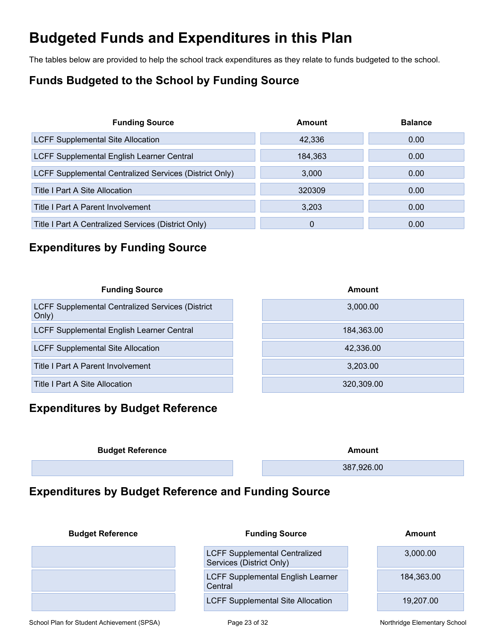### <span id="page-22-0"></span>**Budgeted Funds and Expenditures in this Plan**

The tables below are provided to help the school track expenditures as they relate to funds budgeted to the school.

### <span id="page-22-1"></span>**Funds Budgeted to the School by Funding Source**

| <b>Funding Source</b>                                  | Amount  | <b>Balance</b> |
|--------------------------------------------------------|---------|----------------|
| <b>LCFF Supplemental Site Allocation</b>               | 42,336  | 0.00           |
| <b>LCFF Supplemental English Learner Central</b>       | 184,363 | 0.00           |
| LCFF Supplemental Centralized Services (District Only) | 3.000   | 0.00           |
| Title I Part A Site Allocation                         | 320309  | 0.00           |
| Title I Part A Parent Involvement                      | 3,203   | 0.00           |
| Title I Part A Centralized Services (District Only)    | 0       | 0.00           |

#### <span id="page-22-2"></span>**Expenditures by Funding Source**

| <b>Funding Source</b>                                            | Amount     |
|------------------------------------------------------------------|------------|
| <b>LCFF Supplemental Centralized Services (District</b><br>Only) | 3,000.00   |
| LCFF Supplemental English Learner Central                        | 184,363.00 |
| <b>LCFF Supplemental Site Allocation</b>                         | 42.336.00  |
| Title I Part A Parent Involvement                                | 3.203.00   |
| Title I Part A Site Allocation                                   | 320,309.00 |

### <span id="page-22-3"></span>**Expenditures by Budget Reference**

| <b>Budget Reference</b> | Amount     |
|-------------------------|------------|
|                         | 387,926.00 |
|                         |            |

#### <span id="page-22-4"></span>**Expenditures by Budget Reference and Funding Source**

| <b>Budget Reference</b> | <b>Funding Source</b>                                            | Amount     |
|-------------------------|------------------------------------------------------------------|------------|
|                         | <b>LCFF Supplemental Centralized</b><br>Services (District Only) | 3,000.00   |
|                         | <b>LCFF Supplemental English Learner</b><br>Central              | 184,363.00 |
|                         | <b>LCFF Supplemental Site Allocation</b>                         | 19.207.00  |

School Plan for Student Achievement (SPSA) Page 23 of 32 Northridge Elementary School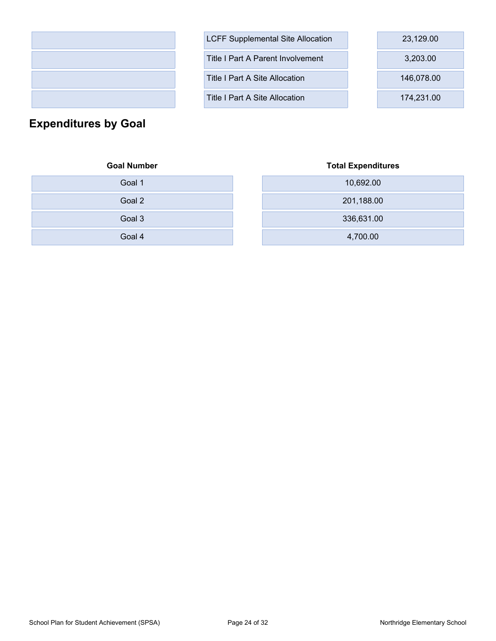

| <b>LCFF Supplemental Site Allocation</b> | 23,129.00  |
|------------------------------------------|------------|
| Title I Part A Parent Involvement        | 3,203.00   |
| Title I Part A Site Allocation           | 146,078.00 |
| Title I Part A Site Allocation           | 174,231.00 |

<span id="page-23-0"></span>**Expenditures by Goal**

#### **Goal Number Total Expenditures**

| Goal 1 | 10,692.00  |
|--------|------------|
| Goal 2 | 201,188.00 |
| Goal 3 | 336,631.00 |
| Goal 4 | 4,700.00   |

| Goal 1 | 10,692.00  |
|--------|------------|
| Goal 2 | 201,188.00 |
| Goal 3 | 336,631.00 |
| Goal 4 | 4,700.00   |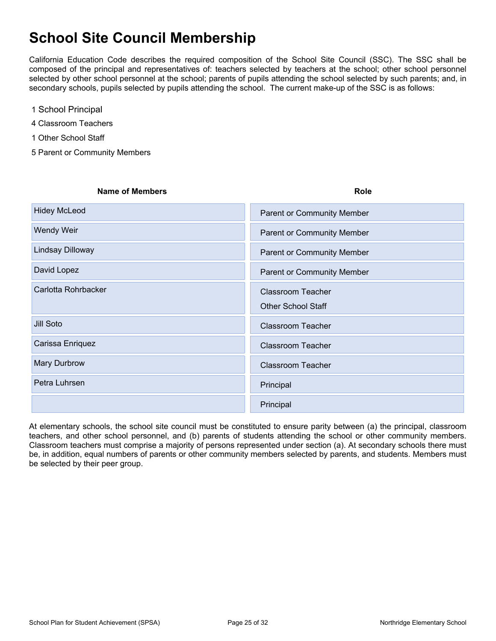### <span id="page-24-0"></span>**School Site Council Membership**

California Education Code describes the required composition of the School Site Council (SSC). The SSC shall be composed of the principal and representatives of: teachers selected by teachers at the school; other school personnel selected by other school personnel at the school; parents of pupils attending the school selected by such parents; and, in secondary schools, pupils selected by pupils attending the school. The current make-up of the SSC is as follows:

- 1 School Principal
- 4 Classroom Teachers
- 1 Other School Staff
- 5 Parent or Community Members

| <b>Name of Members</b> | <b>Role</b>                                           |
|------------------------|-------------------------------------------------------|
| <b>Hidey McLeod</b>    | <b>Parent or Community Member</b>                     |
| Wendy Weir             | Parent or Community Member                            |
| Lindsay Dilloway       | Parent or Community Member                            |
| David Lopez            | <b>Parent or Community Member</b>                     |
| Carlotta Rohrbacker    | <b>Classroom Teacher</b><br><b>Other School Staff</b> |
| Jill Soto              | <b>Classroom Teacher</b>                              |
| Carissa Enriquez       | <b>Classroom Teacher</b>                              |
| Mary Durbrow           | <b>Classroom Teacher</b>                              |
| Petra Luhrsen          | Principal                                             |
|                        | Principal                                             |

At elementary schools, the school site council must be constituted to ensure parity between (a) the principal, classroom teachers, and other school personnel, and (b) parents of students attending the school or other community members. Classroom teachers must comprise a majority of persons represented under section (a). At secondary schools there must be, in addition, equal numbers of parents or other community members selected by parents, and students. Members must be selected by their peer group.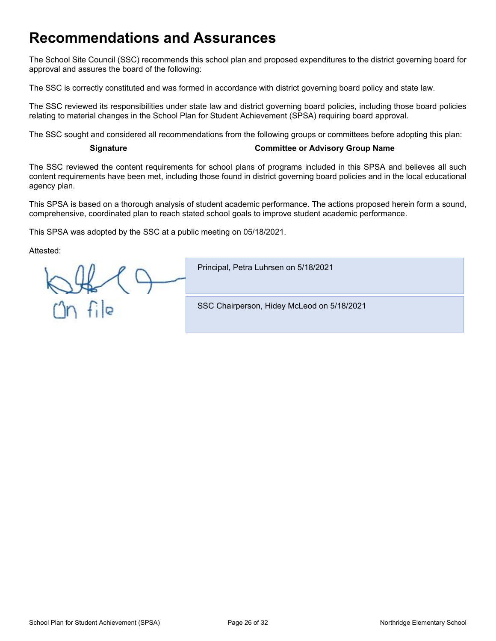### <span id="page-25-0"></span>**Recommendations and Assurances**

The School Site Council (SSC) recommends this school plan and proposed expenditures to the district governing board for approval and assures the board of the following:

The SSC is correctly constituted and was formed in accordance with district governing board policy and state law.

The SSC reviewed its responsibilities under state law and district governing board policies, including those board policies relating to material changes in the School Plan for Student Achievement (SPSA) requiring board approval.

The SSC sought and considered all recommendations from the following groups or committees before adopting this plan:

#### **Signature Committee or Advisory Group Name**

The SSC reviewed the content requirements for school plans of programs included in this SPSA and believes all such content requirements have been met, including those found in district governing board policies and in the local educational agency plan.

This SPSA is based on a thorough analysis of student academic performance. The actions proposed herein form a sound, comprehensive, coordinated plan to reach stated school goals to improve student academic performance.

This SPSA was adopted by the SSC at a public meeting on 05/18/2021.

Attested:

Principal, Petra Luhrsen on 5/18/2021  $n$ file SSC Chairperson, Hidey McLeod on 5/18/2021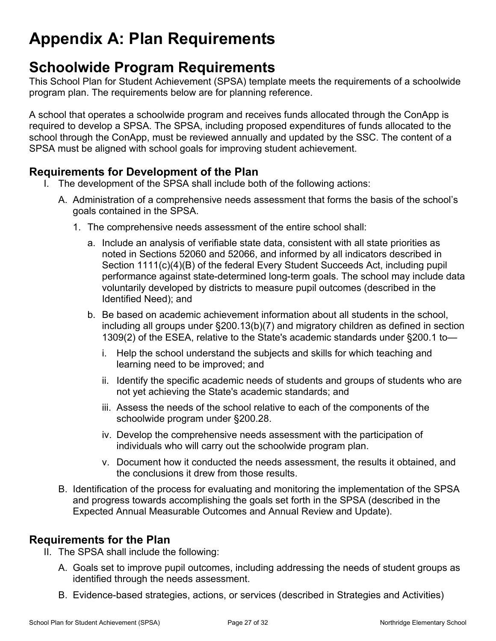# <span id="page-26-0"></span>**Appendix A: Plan Requirements**

### **Schoolwide Program Requirements**

This School Plan for Student Achievement (SPSA) template meets the requirements of a schoolwide program plan. The requirements below are for planning reference.

A school that operates a schoolwide program and receives funds allocated through the ConApp is required to develop a SPSA. The SPSA, including proposed expenditures of funds allocated to the school through the ConApp, must be reviewed annually and updated by the SSC. The content of a SPSA must be aligned with school goals for improving student achievement.

#### **Requirements for Development of the Plan**

- I. The development of the SPSA shall include both of the following actions:
	- A. Administration of a comprehensive needs assessment that forms the basis of the school's goals contained in the SPSA.
		- 1. The comprehensive needs assessment of the entire school shall:
			- a. Include an analysis of verifiable state data, consistent with all state priorities as noted in Sections 52060 and 52066, and informed by all indicators described in Section 1111(c)(4)(B) of the federal Every Student Succeeds Act, including pupil performance against state-determined long-term goals. The school may include data voluntarily developed by districts to measure pupil outcomes (described in the Identified Need); and
			- b. Be based on academic achievement information about all students in the school, including all groups under §200.13(b)(7) and migratory children as defined in section 1309(2) of the ESEA, relative to the State's academic standards under §200.1 to
				- i. Help the school understand the subjects and skills for which teaching and learning need to be improved; and
				- ii. Identify the specific academic needs of students and groups of students who are not yet achieving the State's academic standards; and
				- iii. Assess the needs of the school relative to each of the components of the schoolwide program under §200.28.
				- iv. Develop the comprehensive needs assessment with the participation of individuals who will carry out the schoolwide program plan.
				- v. Document how it conducted the needs assessment, the results it obtained, and the conclusions it drew from those results.
	- B. Identification of the process for evaluating and monitoring the implementation of the SPSA and progress towards accomplishing the goals set forth in the SPSA (described in the Expected Annual Measurable Outcomes and Annual Review and Update).

#### **Requirements for the Plan**

- II. The SPSA shall include the following:
	- A. Goals set to improve pupil outcomes, including addressing the needs of student groups as identified through the needs assessment.
	- B. Evidence-based strategies, actions, or services (described in Strategies and Activities)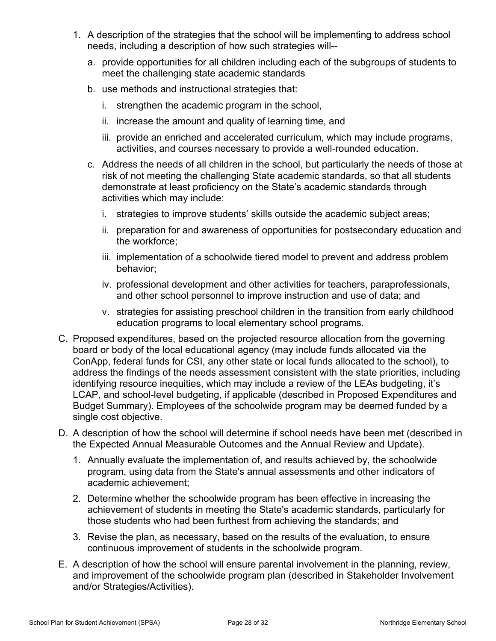- 1. A description of the strategies that the school will be implementing to address school needs, including a description of how such strategies will-
	- a. provide opportunities for all children including each of the subgroups of students to meet the challenging state academic standards
	- b. use methods and instructional strategies that:
		- i. strengthen the academic program in the school,
		- ii. increase the amount and quality of learning time, and
		- iii. provide an enriched and accelerated curriculum, which may include programs, activities, and courses necessary to provide a well-rounded education.
	- c. Address the needs of all children in the school, but particularly the needs of those at risk of not meeting the challenging State academic standards, so that all students demonstrate at least proficiency on the State's academic standards through activities which may include:
		- i. strategies to improve students' skills outside the academic subject areas;
		- ii. preparation for and awareness of opportunities for postsecondary education and the workforce;
		- iii. implementation of a schoolwide tiered model to prevent and address problem behavior;
		- iv. professional development and other activities for teachers, paraprofessionals, and other school personnel to improve instruction and use of data; and
		- v. strategies for assisting preschool children in the transition from early childhood education programs to local elementary school programs.
- C. Proposed expenditures, based on the projected resource allocation from the governing board or body of the local educational agency (may include funds allocated via the ConApp, federal funds for CSI, any other state or local funds allocated to the school), to address the findings of the needs assessment consistent with the state priorities, including identifying resource inequities, which may include a review of the LEAs budgeting, it's LCAP, and school-level budgeting, if applicable (described in Proposed Expenditures and Budget Summary). Employees of the schoolwide program may be deemed funded by a single cost objective.
- D. A description of how the school will determine if school needs have been met (described in the Expected Annual Measurable Outcomes and the Annual Review and Update).
	- 1. Annually evaluate the implementation of, and results achieved by, the schoolwide program, using data from the State's annual assessments and other indicators of academic achievement;
	- 2. Determine whether the schoolwide program has been effective in increasing the achievement of students in meeting the State's academic standards, particularly for those students who had been furthest from achieving the standards; and
	- 3. Revise the plan, as necessary, based on the results of the evaluation, to ensure continuous improvement of students in the schoolwide program.
- E. A description of how the school will ensure parental involvement in the planning, review, and improvement of the schoolwide program plan (described in Stakeholder Involvement and/or Strategies/Activities).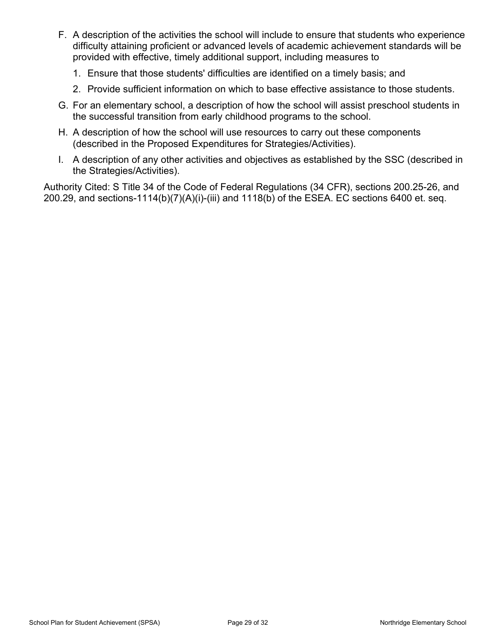- F. A description of the activities the school will include to ensure that students who experience difficulty attaining proficient or advanced levels of academic achievement standards will be provided with effective, timely additional support, including measures to
	- 1. Ensure that those students' difficulties are identified on a timely basis; and
	- 2. Provide sufficient information on which to base effective assistance to those students.
- G. For an elementary school, a description of how the school will assist preschool students in the successful transition from early childhood programs to the school.
- H. A description of how the school will use resources to carry out these components (described in the Proposed Expenditures for Strategies/Activities).
- I. A description of any other activities and objectives as established by the SSC (described in the Strategies/Activities).

Authority Cited: S Title 34 of the Code of Federal Regulations (34 CFR), sections 200.25-26, and 200.29, and sections-1114(b)(7)(A)(i)-(iii) and 1118(b) of the ESEA. EC sections 6400 et. seq.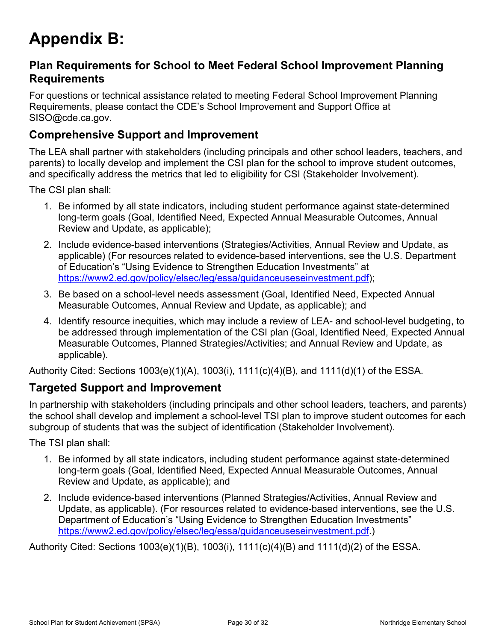# <span id="page-29-0"></span>**Appendix B:**

#### **Plan Requirements for School to Meet Federal School Improvement Planning Requirements**

For questions or technical assistance related to meeting Federal School Improvement Planning Requirements, please contact the CDE's School Improvement and Support Office at SISO@cde.ca.gov.

#### **Comprehensive Support and Improvement**

The LEA shall partner with stakeholders (including principals and other school leaders, teachers, and parents) to locally develop and implement the CSI plan for the school to improve student outcomes, and specifically address the metrics that led to eligibility for CSI (Stakeholder Involvement).

The CSI plan shall:

- 1. Be informed by all state indicators, including student performance against state-determined long-term goals (Goal, Identified Need, Expected Annual Measurable Outcomes, Annual Review and Update, as applicable);
- 2. Include evidence-based interventions (Strategies/Activities, Annual Review and Update, as applicable) (For resources related to evidence-based interventions, see the U.S. Department of Education's "Using Evidence to Strengthen Education Investments" at [https://www2.ed.gov/policy/elsec/leg/essa/guidanceuseseinvestment.pdf\)](https://www2.ed.gov/policy/elsec/leg/essa/guidanceuseseinvestment.pdf);
- 3. Be based on a school-level needs assessment (Goal, Identified Need, Expected Annual Measurable Outcomes, Annual Review and Update, as applicable); and
- 4. Identify resource inequities, which may include a review of LEA- and school-level budgeting, to be addressed through implementation of the CSI plan (Goal, Identified Need, Expected Annual Measurable Outcomes, Planned Strategies/Activities; and Annual Review and Update, as applicable).

Authority Cited: Sections 1003(e)(1)(A), 1003(i), 1111(c)(4)(B), and 1111(d)(1) of the ESSA.

#### **Targeted Support and Improvement**

In partnership with stakeholders (including principals and other school leaders, teachers, and parents) the school shall develop and implement a school-level TSI plan to improve student outcomes for each subgroup of students that was the subject of identification (Stakeholder Involvement).

The TSI plan shall:

- 1. Be informed by all state indicators, including student performance against state-determined long-term goals (Goal, Identified Need, Expected Annual Measurable Outcomes, Annual Review and Update, as applicable); and
- 2. Include evidence-based interventions (Planned Strategies/Activities, Annual Review and Update, as applicable). (For resources related to evidence-based interventions, see the U.S. Department of Education's "Using Evidence to Strengthen Education Investments" [https://www2.ed.gov/policy/elsec/leg/essa/guidanceuseseinvestment.pdf.](https://www2.ed.gov/policy/elsec/leg/essa/guidanceuseseinvestment.pdf))

Authority Cited: Sections 1003(e)(1)(B), 1003(i), 1111(c)(4)(B) and 1111(d)(2) of the ESSA.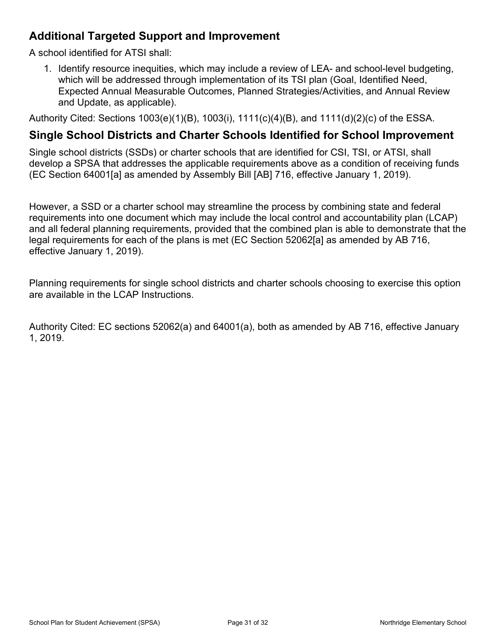#### **Additional Targeted Support and Improvement**

A school identified for ATSI shall:

1. Identify resource inequities, which may include a review of LEA- and school-level budgeting, which will be addressed through implementation of its TSI plan (Goal, Identified Need, Expected Annual Measurable Outcomes, Planned Strategies/Activities, and Annual Review and Update, as applicable).

Authority Cited: Sections 1003(e)(1)(B), 1003(i), 1111(c)(4)(B), and 1111(d)(2)(c) of the ESSA.

#### **Single School Districts and Charter Schools Identified for School Improvement**

Single school districts (SSDs) or charter schools that are identified for CSI, TSI, or ATSI, shall develop a SPSA that addresses the applicable requirements above as a condition of receiving funds (EC Section 64001[a] as amended by Assembly Bill [AB] 716, effective January 1, 2019).

However, a SSD or a charter school may streamline the process by combining state and federal requirements into one document which may include the local control and accountability plan (LCAP) and all federal planning requirements, provided that the combined plan is able to demonstrate that the legal requirements for each of the plans is met (EC Section 52062[a] as amended by AB 716, effective January 1, 2019).

Planning requirements for single school districts and charter schools choosing to exercise this option are available in the LCAP Instructions.

Authority Cited: EC sections 52062(a) and 64001(a), both as amended by AB 716, effective January 1, 2019.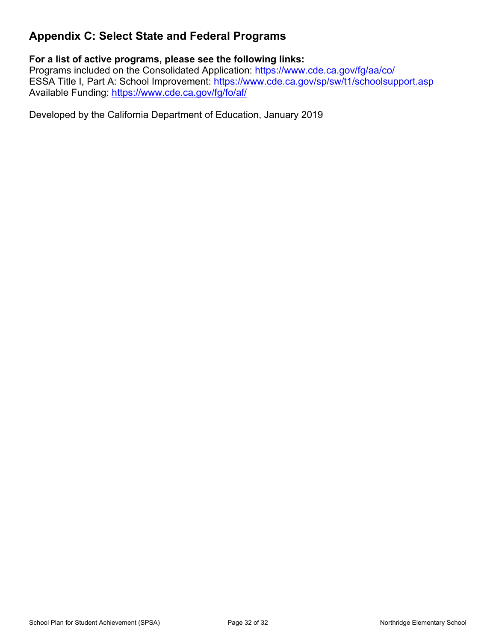### <span id="page-31-0"></span>**Appendix C: Select State and Federal Programs**

#### **For a list of active programs, please see the following links:**

Programs included on the Consolidated Application: <https://www.cde.ca.gov/fg/aa/co/> ESSA Title I, Part A: School Improvement: <https://www.cde.ca.gov/sp/sw/t1/schoolsupport.asp> Available Funding: <https://www.cde.ca.gov/fg/fo/af/>

Developed by the California Department of Education, January 2019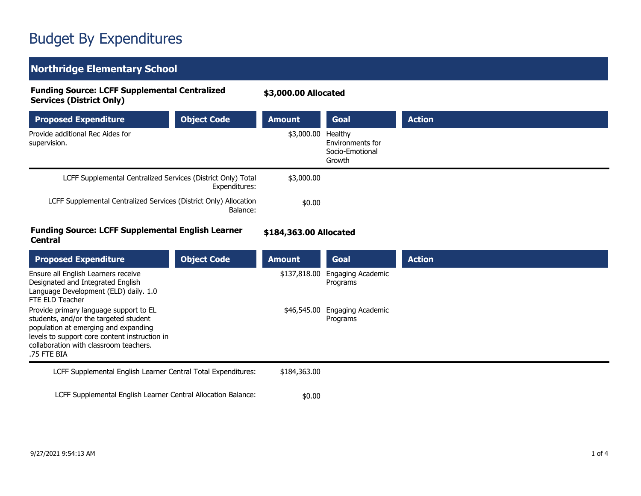# Budget By Expenditures

### **Northridge Elementary School**

| <b>Funding Source: LCFF Supplemental Centralized</b><br><b>Services (District Only)</b>                                                                                                                                           |                    | \$3,000.00 Allocated   |                                               |               |
|-----------------------------------------------------------------------------------------------------------------------------------------------------------------------------------------------------------------------------------|--------------------|------------------------|-----------------------------------------------|---------------|
| <b>Proposed Expenditure</b>                                                                                                                                                                                                       | <b>Object Code</b> | <b>Amount</b>          | Goal                                          | <b>Action</b> |
| Provide additional Rec Aides for<br>supervision.                                                                                                                                                                                  |                    | \$3,000.00 Healthy     | Environments for<br>Socio-Emotional<br>Growth |               |
| LCFF Supplemental Centralized Services (District Only) Total                                                                                                                                                                      | Expenditures:      | \$3,000.00             |                                               |               |
| LCFF Supplemental Centralized Services (District Only) Allocation                                                                                                                                                                 | Balance:           | \$0.00                 |                                               |               |
| <b>Funding Source: LCFF Supplemental English Learner</b><br><b>Central</b>                                                                                                                                                        |                    | \$184,363.00 Allocated |                                               |               |
| <b>Proposed Expenditure</b>                                                                                                                                                                                                       | <b>Object Code</b> | <b>Amount</b>          | <b>Goal</b>                                   | <b>Action</b> |
| Ensure all English Learners receive<br>Designated and Integrated English<br>Language Development (ELD) daily. 1.0<br>FTE ELD Teacher                                                                                              |                    | \$137,818.00           | Engaging Academic<br>Programs                 |               |
| Provide primary language support to EL<br>students, and/or the targeted student<br>population at emerging and expanding<br>levels to support core content instruction in<br>collaboration with classroom teachers.<br>.75 FTE BIA |                    | \$46,545.00            | Engaging Academic<br>Programs                 |               |
| LCFF Supplemental English Learner Central Total Expenditures:                                                                                                                                                                     |                    | \$184,363.00           |                                               |               |
| LCFF Supplemental English Learner Central Allocation Balance:                                                                                                                                                                     |                    | \$0.00                 |                                               |               |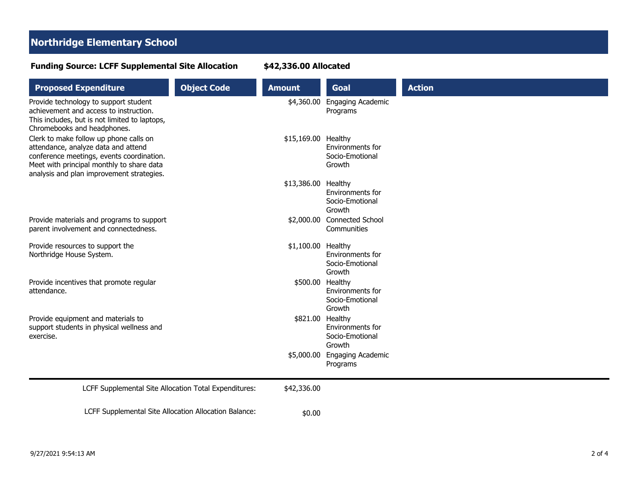#### **Northridge Elementary School**

#### **Proposed Expenditure Amount Code Amount Goal Action** Provide technology to support student achievement and access to instruction. This includes, but is not limited to laptops, Chromebooks and headphones. \$4,360.00 Engaging Academic Programs Clerk to make follow up phone calls on attendance, analyze data and attend conference meetings, events coordination. Meet with principal monthly to share data analysis and plan improvement strategies. \$15,169.00 Healthy Environments for Socio-Emotional Growth \$13,386.00 Healthy Environments for Socio-Emotional Growth Provide materials and programs to support parent involvement and connectedness. \$2,000.00 Connected School **Communities** Provide resources to support the Northridge House System. \$1,100.00 Healthy Environments for Socio-Emotional Growth Provide incentives that promote regular attendance. \$500.00 Healthy Environments for Socio-Emotional Growth Provide equipment and materials to support students in physical wellness and exercise. \$821.00 Healthy Environments for Socio-Emotional Growth \$5,000.00 Engaging Academic Programs LCFF Supplemental Site Allocation Total Expenditures: \$42,336.00 LCFF Supplemental Site Allocation Allocation Balance:  $$0.00$

#### **Funding Source: LCFF Supplemental Site Allocation**

**\$42,336.00 Allocated**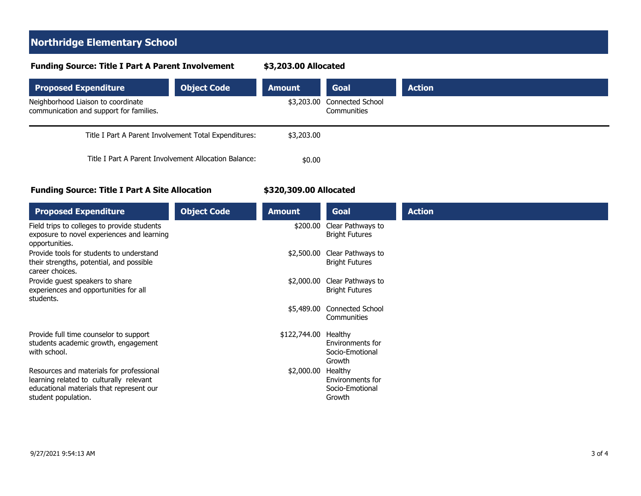#### **Northridge Elementary School**

#### **Funding Source: Title I Part A Parent Involvement**

**\$3,203.00 Allocated**

| <b>Proposed Expenditure</b>                                                   | <b>Object Code</b> | <b>Amount</b> | <b>Goal</b>                                   | <b>Action</b> |
|-------------------------------------------------------------------------------|--------------------|---------------|-----------------------------------------------|---------------|
| Neighborhood Liaison to coordinate<br>communication and support for families. |                    | \$3,203.00    | <b>Connected School</b><br><b>Communities</b> |               |
| Title I Part A Parent Involvement Total Expenditures:                         |                    | \$3,203.00    |                                               |               |
| Title I Part A Parent Involvement Allocation Balance:                         |                    | \$0.00        |                                               |               |

#### **Funding Source: Title I Part A Site Allocation**

#### **\$320,309.00 Allocated**

| <b>Proposed Expenditure</b>                                                                                                                            | <b>Object Code</b> | <b>Amount</b> | Goal                                                     | <b>Action</b> |
|--------------------------------------------------------------------------------------------------------------------------------------------------------|--------------------|---------------|----------------------------------------------------------|---------------|
| Field trips to colleges to provide students<br>exposure to novel experiences and learning<br>opportunities.                                            |                    | \$200.00      | Clear Pathways to<br><b>Bright Futures</b>               |               |
| Provide tools for students to understand<br>their strengths, potential, and possible<br>career choices.                                                |                    | \$2,500.00    | Clear Pathways to<br><b>Bright Futures</b>               |               |
| Provide guest speakers to share<br>experiences and opportunities for all<br>students.                                                                  |                    | \$2,000.00    | Clear Pathways to<br><b>Bright Futures</b>               |               |
|                                                                                                                                                        |                    | \$5,489.00    | <b>Connected School</b><br>Communities                   |               |
| Provide full time counselor to support<br>students academic growth, engagement<br>with school.                                                         |                    | \$122,744.00  | Healthy<br>Environments for<br>Socio-Emotional<br>Growth |               |
| Resources and materials for professional<br>learning related to culturally relevant<br>educational materials that represent our<br>student population. |                    | \$2,000.00    | Healthy<br>Environments for<br>Socio-Emotional<br>Growth |               |